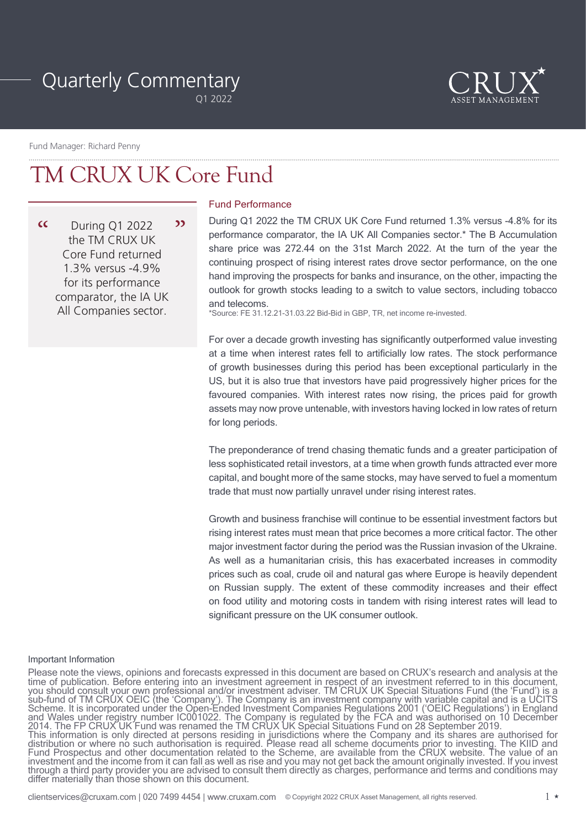# Quarterly Commentary

Q1 2022



Fund Manager: Richard Penny

## TM CRUX UK Core Fund

 $\alpha$ During Q1 2022 22 the TM CRUX UK Core Fund returned 1.3% versus -4.9% for its performance comparator, the IA UK All Companies sector.

## Fund Performance

During Q1 2022 the TM CRUX UK Core Fund returned 1.3% versus -4.8% for its performance comparator, the IA UK All Companies sector.\* The B Accumulation share price was 272.44 on the 31st March 2022. At the turn of the year the continuing prospect of rising interest rates drove sector performance, on the one hand improving the prospects for banks and insurance, on the other, impacting the outlook for growth stocks leading to a switch to value sectors, including tobacco and telecoms.

\*Source: FE 31.12.21-31.03.22 Bid-Bid in GBP, TR, net income re-invested.

For over a decade growth investing has significantly outperformed value investing at a time when interest rates fell to artificially low rates. The stock performance of growth businesses during this period has been exceptional particularly in the US, but it is also true that investors have paid progressively higher prices for the favoured companies. With interest rates now rising, the prices paid for growth assets may now prove untenable, with investors having locked in low rates of return for long periods.

The preponderance of trend chasing thematic funds and a greater participation of less sophisticated retail investors, at a time when growth funds attracted ever more capital, and bought more of the same stocks, may have served to fuel a momentum trade that must now partially unravel under rising interest rates.

Growth and business franchise will continue to be essential investment factors but rising interest rates must mean that price becomes a more critical factor. The other major investment factor during the period was the Russian invasion of the Ukraine. As well as a humanitarian crisis, this has exacerbated increases in commodity prices such as coal, crude oil and natural gas where Europe is heavily dependent on Russian supply. The extent of these commodity increases and their effect on food utility and motoring costs in tandem with rising interest rates will lead to significant pressure on the UK consumer outlook.

#### Important Information

Please note the views, opinions and forecasts expressed in this document are based on CRUX's research and analysis at the time of publication. Before entering into an investment agreement in respect of an investment referred to in this document, you should consult your own professional and/or investment adviser. TM CRUX UK Special Situations Fund (the 'Fund') is a sub-fund of TM CRUX OEIC (the 'Company'). The Company is an investment company with variable capital and is a UCITS Scheme. It is incorporated under the Open-Ended Investment Companies Regulations 2001 ('OEIC Regulations') in England and Wales under registry number IC001022. The Company is regulated by the FCA and was authorised on 10 December 2014. The FP CRUX UK Fund was renamed the TM CRUX UK Special Situations Fund on 28 September 2019.<br>This information is only directed at persons residing in jurisdictions where the Company and its shares are authorised for distribution or where no such authorisation is required. Please read all scheme documents prior to investing. The KIID and Fund Prospectus and other documentation related to the Scheme, are available from the CRUX website. The value of an investment and the income from it can fall as well as rise and you may not get back the amount originally invested. If you invest through a third party provider you are advised to consult them directly as charges, performance and terms and conditions may differ materially than those shown on this document.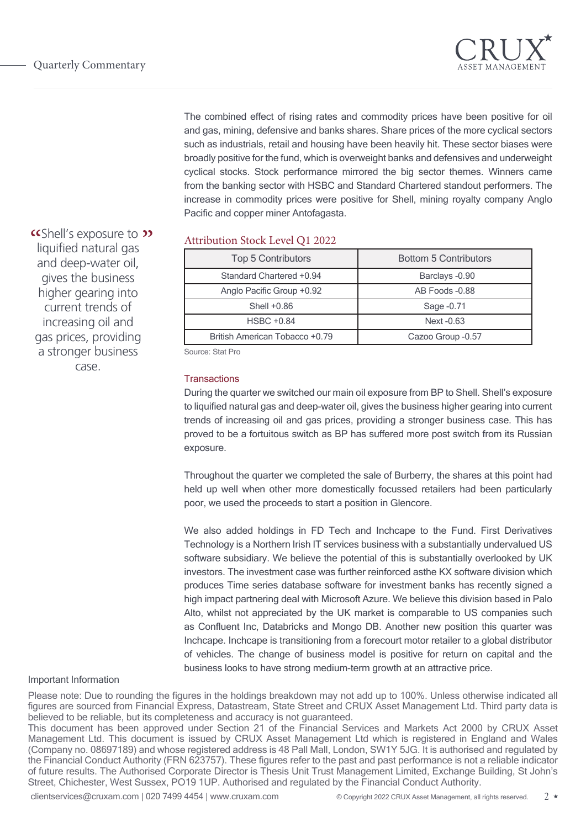

The combined effect of rising rates and commodity prices have been positive for oil and gas, mining, defensive and banks shares. Share prices of the more cyclical sectors such as industrials, retail and housing have been heavily hit. These sector biases were broadly positive for the fund, which is overweight banks and defensives and underweight cyclical stocks. Stock performance mirrored the big sector themes. Winners came from the banking sector with HSBC and Standard Chartered standout performers. The increase in commodity prices were positive for Shell, mining royalty company Anglo Pacific and copper miner Antofagasta.

**" CShell's exposure to \*\***<br>liquified natural gas liquified natural gas and deep-water oil, gives the business higher gearing into current trends of increasing oil and gas prices, providing a stronger business case.

## Attribution Stock Level Q1 2022

| <b>Top 5 Contributors</b>      | <b>Bottom 5 Contributors</b> |
|--------------------------------|------------------------------|
| Standard Chartered +0.94       | Barclays -0.90               |
| Anglo Pacific Group +0.92      | AB Foods -0.88               |
| Shell $+0.86$                  | Sage -0.71                   |
| <b>HSBC +0.84</b>              | Next -0.63                   |
| British American Tobacco +0.79 | Cazoo Group -0.57            |

Source: Stat Pro

#### **Transactions**

During the quarter we switched our main oil exposure from BP to Shell. Shell's exposure to liquified natural gas and deep-water oil, gives the business higher gearing into current trends of increasing oil and gas prices, providing a stronger business case. This has proved to be a fortuitous switch as BP has suffered more post switch from its Russian exposure.

Throughout the quarter we completed the sale of Burberry, the shares at this point had held up well when other more domestically focussed retailers had been particularly poor, we used the proceeds to start a position in Glencore.

We also added holdings in FD Tech and Inchcape to the Fund. First Derivatives Technology is a Northern Irish IT services business with a substantially undervalued US software subsidiary. We believe the potential of this is substantially overlooked by UK investors. The investment case was further reinforced asthe KX software division which produces Time series database software for investment banks has recently signed a high impact partnering deal with Microsoft Azure. We believe this division based in Palo Alto, whilst not appreciated by the UK market is comparable to US companies such as Confluent Inc, Databricks and Mongo DB. Another new position this quarter was Inchcape. Inchcape is transitioning from a forecourt motor retailer to a global distributor of vehicles. The change of business model is positive for return on capital and the business looks to have strong medium-term growth at an attractive price.

#### Important Information

Please note: Due to rounding the figures in the holdings breakdown may not add up to 100%. Unless otherwise indicated all figures are sourced from Financial Express, Datastream, State Street and CRUX Asset Management Ltd. Third party data is believed to be reliable, but its completeness and accuracy is not guaranteed.

This document has been approved under Section 21 of the Financial Services and Markets Act 2000 by CRUX Asset Management Ltd. This document is issued by CRUX Asset Management Ltd which is registered in England and Wales (Company no. 08697189) and whose registered address is 48 Pall Mall, London, SW1Y 5JG. It is authorised and regulated by the Financial Conduct Authority (FRN 623757). These figures refer to the past and past performance is not a reliable indicator of future results. The Authorised Corporate Director is Thesis Unit Trust Management Limited, Exchange Building, St John's Street, Chichester, West Sussex, PO19 1UP. Authorised and regulated by the Financial Conduct Authority.

clientservices@cruxam.com | 020 7499 4454 | www.cruxam.com © Copyright 2022 CRUX Asset Management, all rights reserved. 2 \*